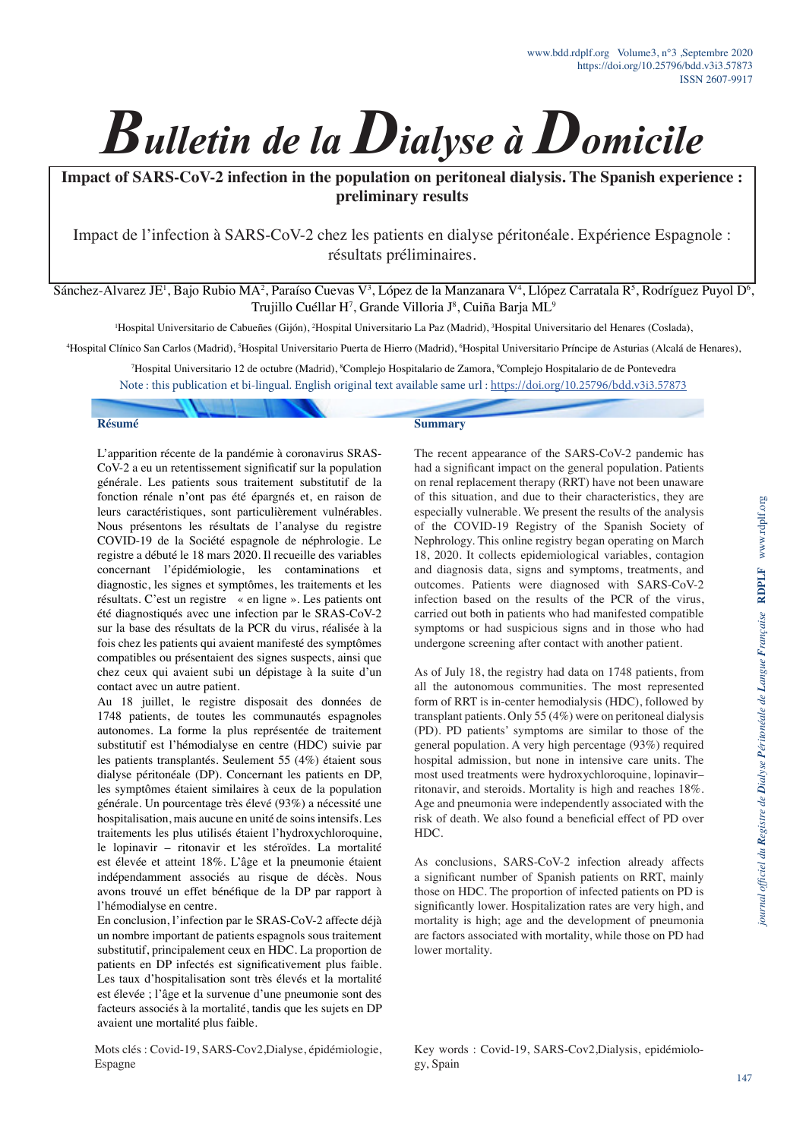

**Impact of SARS-CoV-2 infection in the population on peritoneal dialysis. The Spanish experience : preliminary results**

Impact de l'infection à SARS-CoV-2 chez les patients en dialyse péritonéale. Expérience Espagnole : résultats préliminaires.

Sánchez-Alvarez JE<sup>1</sup>, Bajo Rubio MA<sup>2</sup>, Paraíso Cuevas V<sup>3</sup>, López de la Manzanara V<sup>4</sup>, Llópez Carratala R<sup>5</sup>, Rodríguez Puyol D<sup>6</sup>, Trujillo Cuéllar H<sup>7</sup>, Grande Villoria J<sup>8</sup>, Cuiña Barja ML<sup>9</sup>

<sup>1</sup>Hospital Universitario de Cabueñes (Gijón), <sup>2</sup>Hospital Universitario La Paz (Madrid), <sup>3</sup>Hospital Universitario del Henares (Coslada).

4 Hospital Clínico San Carlos (Madrid), 5 Hospital Universitario Puerta de Hierro (Madrid), 6 Hospital Universitario Príncipe de Asturias (Alcalá de Henares),

7 Hospital Universitario 12 de octubre (Madrid), 8 Complejo Hospitalario de Zamora, 9 Complejo Hospitalario de de Pontevedra

Note : this publication et bi-lingual. English original text available same url :<https://doi.org/10.25796/bdd.v3i3.57873>

#### **Résumé**

L'apparition récente de la pandémie à coronavirus SRAS-CoV-2 a eu un retentissement significatif sur la population générale. Les patients sous traitement substitutif de la fonction rénale n'ont pas été épargnés et, en raison de leurs caractéristiques, sont particulièrement vulnérables. Nous présentons les résultats de l'analyse du registre COVID-19 de la Société espagnole de néphrologie. Le registre a débuté le 18 mars 2020. Il recueille des variables concernant l'épidémiologie, les contaminations et diagnostic, les signes et symptômes, les traitements et les résultats. C'est un registre « en ligne ». Les patients ont été diagnostiqués avec une infection par le SRAS-CoV-2 sur la base des résultats de la PCR du virus, réalisée à la fois chez les patients qui avaient manifesté des symptômes compatibles ou présentaient des signes suspects, ainsi que chez ceux qui avaient subi un dépistage à la suite d'un contact avec un autre patient.

Au 18 juillet, le registre disposait des données de 1748 patients, de toutes les communautés espagnoles autonomes. La forme la plus représentée de traitement substitutif est l'hémodialyse en centre (HDC) suivie par les patients transplantés. Seulement 55 (4%) étaient sous dialyse péritonéale (DP). Concernant les patients en DP, les symptômes étaient similaires à ceux de la population générale. Un pourcentage très élevé (93%) a nécessité une hospitalisation, mais aucune en unité de soins intensifs. Les traitements les plus utilisés étaient l'hydroxychloroquine, le lopinavir – ritonavir et les stéroïdes. La mortalité est élevée et atteint 18%. L'âge et la pneumonie étaient indépendamment associés au risque de décès. Nous avons trouvé un effet bénéfique de la DP par rapport à l'hémodialyse en centre.

En conclusion, l'infection par le SRAS-CoV-2 affecte déjà un nombre important de patients espagnols sous traitement substitutif, principalement ceux en HDC. La proportion de patients en DP infectés est significativement plus faible. Les taux d'hospitalisation sont très élevés et la mortalité est élevée ; l'âge et la survenue d'une pneumonie sont des facteurs associés à la mortalité, tandis que les sujets en DP avaient une mortalité plus faible.

Mots clés : Covid-19, SARS-Cov2,Dialyse, épidémiologie, Espagne

#### **Summary**

The recent appearance of the SARS-CoV-2 pandemic has had a significant impact on the general population. Patients on renal replacement therapy (RRT) have not been unaware of this situation, and due to their characteristics, they are especially vulnerable. We present the results of the analysis of the COVID-19 Registry of the Spanish Society of Nephrology. This online registry began operating on March 18, 2020. It collects epidemiological variables, contagion and diagnosis data, signs and symptoms, treatments, and outcomes. Patients were diagnosed with SARS-CoV-2 infection based on the results of the PCR of the virus, carried out both in patients who had manifested compatible symptoms or had suspicious signs and in those who had undergone screening after contact with another patient.

As of July 18, the registry had data on 1748 patients, from all the autonomous communities. The most represented form of RRT is in-center hemodialysis (HDC), followed by transplant patients. Only 55 (4%) were on peritoneal dialysis (PD). PD patients' symptoms are similar to those of the general population. A very high percentage (93%) required hospital admission, but none in intensive care units. The most used treatments were hydroxychloroquine, lopinavir– ritonavir, and steroids. Mortality is high and reaches 18%. Age and pneumonia were independently associated with the risk of death. We also found a beneficial effect of PD over  $HDC$ 

As conclusions, SARS-CoV-2 infection already affects a significant number of Spanish patients on RRT, mainly those on HDC. The proportion of infected patients on PD is significantly lower. Hospitalization rates are very high, and mortality is high; age and the development of pneumonia are factors associated with mortality, while those on PD had lower mortality.

Key words : Covid-19, SARS-Cov2,Dialysis, epidémiology, Spain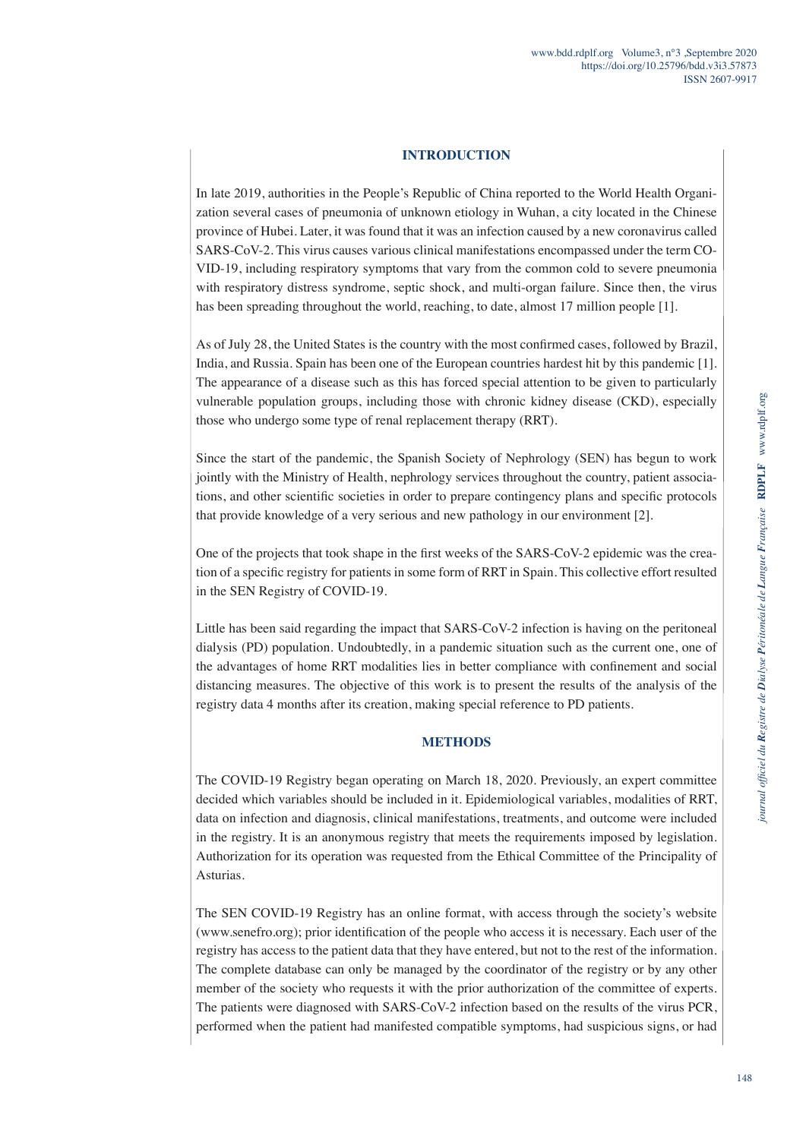# **INTRODUCTION**

In late 2019, authorities in the People's Republic of China reported to the World Health Organization several cases of pneumonia of unknown etiology in Wuhan, a city located in the Chinese province of Hubei. Later, it was found that it was an infection caused by a new coronavirus called SARS-CoV-2. This virus causes various clinical manifestations encompassed under the term CO-VID-19, including respiratory symptoms that vary from the common cold to severe pneumonia with respiratory distress syndrome, septic shock, and multi-organ failure. Since then, the virus has been spreading throughout the world, reaching, to date, almost 17 million people [1].

As of July 28, the United States is the country with the most confirmed cases, followed by Brazil, India, and Russia. Spain has been one of the European countries hardest hit by this pandemic [1]. The appearance of a disease such as this has forced special attention to be given to particularly vulnerable population groups, including those with chronic kidney disease (CKD), especially those who undergo some type of renal replacement therapy (RRT).

Since the start of the pandemic, the Spanish Society of Nephrology (SEN) has begun to work jointly with the Ministry of Health, nephrology services throughout the country, patient associations, and other scientific societies in order to prepare contingency plans and specific protocols that provide knowledge of a very serious and new pathology in our environment [2].

One of the projects that took shape in the first weeks of the SARS-CoV-2 epidemic was the creation of a specific registry for patients in some form of RRT in Spain. This collective effort resulted in the SEN Registry of COVID-19.

Little has been said regarding the impact that SARS-CoV-2 infection is having on the peritoneal dialysis (PD) population. Undoubtedly, in a pandemic situation such as the current one, one of the advantages of home RRT modalities lies in better compliance with confinement and social distancing measures. The objective of this work is to present the results of the analysis of the registry data 4 months after its creation, making special reference to PD patients.

# **METHODS**

The COVID-19 Registry began operating on March 18, 2020. Previously, an expert committee decided which variables should be included in it. Epidemiological variables, modalities of RRT, data on infection and diagnosis, clinical manifestations, treatments, and outcome were included in the registry. It is an anonymous registry that meets the requirements imposed by legislation. Authorization for its operation was requested from the Ethical Committee of the Principality of Asturias.

The SEN COVID-19 Registry has an online format, with access through the society's website (www.senefro.org); prior identification of the people who access it is necessary. Each user of the registry has access to the patient data that they have entered, but not to the rest of the information. The complete database can only be managed by the coordinator of the registry or by any other member of the society who requests it with the prior authorization of the committee of experts. The patients were diagnosed with SARS-CoV-2 infection based on the results of the virus PCR, performed when the patient had manifested compatible symptoms, had suspicious signs, or had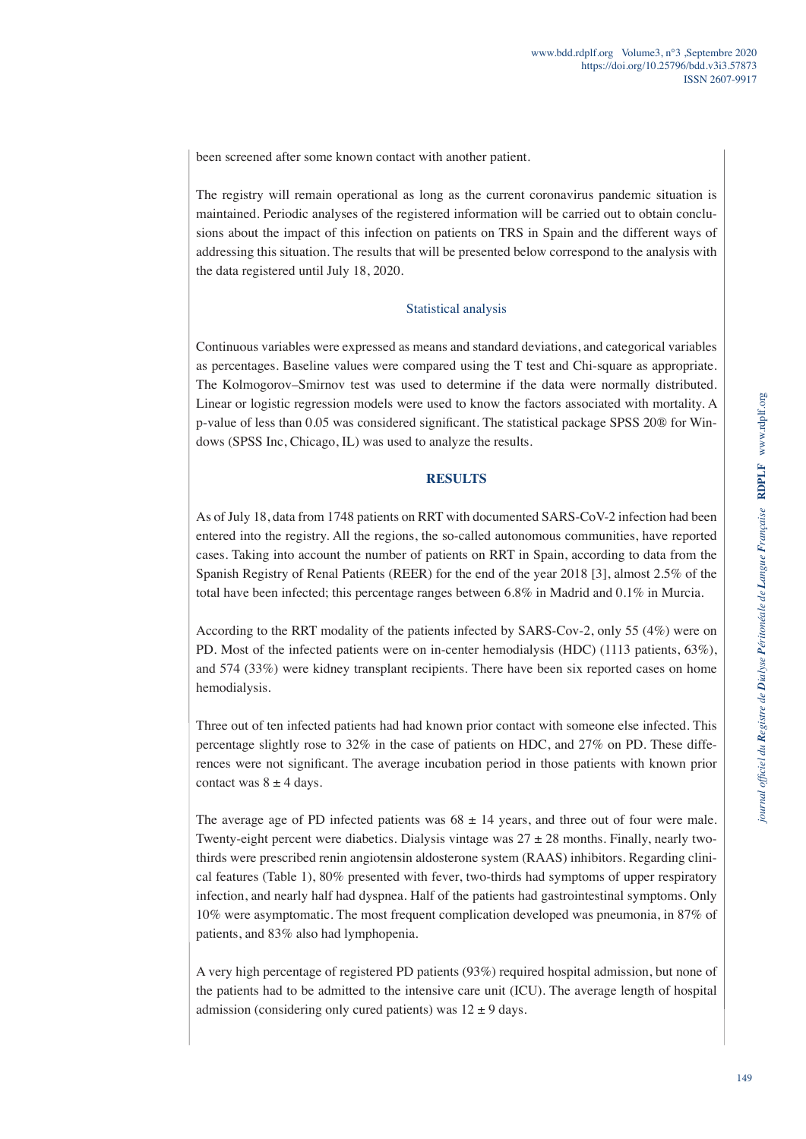been screened after some known contact with another patient.

The registry will remain operational as long as the current coronavirus pandemic situation is maintained. Periodic analyses of the registered information will be carried out to obtain conclusions about the impact of this infection on patients on TRS in Spain and the different ways of addressing this situation. The results that will be presented below correspond to the analysis with the data registered until July 18, 2020.

### Statistical analysis

Continuous variables were expressed as means and standard deviations, and categorical variables as percentages. Baseline values were compared using the T test and Chi-square as appropriate. The Kolmogorov–Smirnov test was used to determine if the data were normally distributed. Linear or logistic regression models were used to know the factors associated with mortality. A p-value of less than 0.05 was considered significant. The statistical package SPSS 20® for Windows (SPSS Inc, Chicago, IL) was used to analyze the results.

## **RESULTS**

As of July 18, data from 1748 patients on RRT with documented SARS-CoV-2 infection had been entered into the registry. All the regions, the so-called autonomous communities, have reported cases. Taking into account the number of patients on RRT in Spain, according to data from the Spanish Registry of Renal Patients (REER) for the end of the year 2018 [3], almost 2.5% of the total have been infected; this percentage ranges between 6.8% in Madrid and 0.1% in Murcia.

According to the RRT modality of the patients infected by SARS-Cov-2, only 55 (4%) were on PD. Most of the infected patients were on in-center hemodialysis (HDC) (1113 patients, 63%), and 574 (33%) were kidney transplant recipients. There have been six reported cases on home hemodialysis.

Three out of ten infected patients had had known prior contact with someone else infected. This percentage slightly rose to 32% in the case of patients on HDC, and 27% on PD. These differences were not significant. The average incubation period in those patients with known prior contact was  $8 \pm 4$  days.

The average age of PD infected patients was  $68 \pm 14$  years, and three out of four were male. Twenty-eight percent were diabetics. Dialysis vintage was  $27 \pm 28$  months. Finally, nearly twothirds were prescribed renin angiotensin aldosterone system (RAAS) inhibitors. Regarding clinical features (Table 1), 80% presented with fever, two-thirds had symptoms of upper respiratory infection, and nearly half had dyspnea. Half of the patients had gastrointestinal symptoms. Only 10% were asymptomatic. The most frequent complication developed was pneumonia, in 87% of patients, and 83% also had lymphopenia.

A very high percentage of registered PD patients (93%) required hospital admission, but none of the patients had to be admitted to the intensive care unit (ICU). The average length of hospital admission (considering only cured patients) was  $12 \pm 9$  days.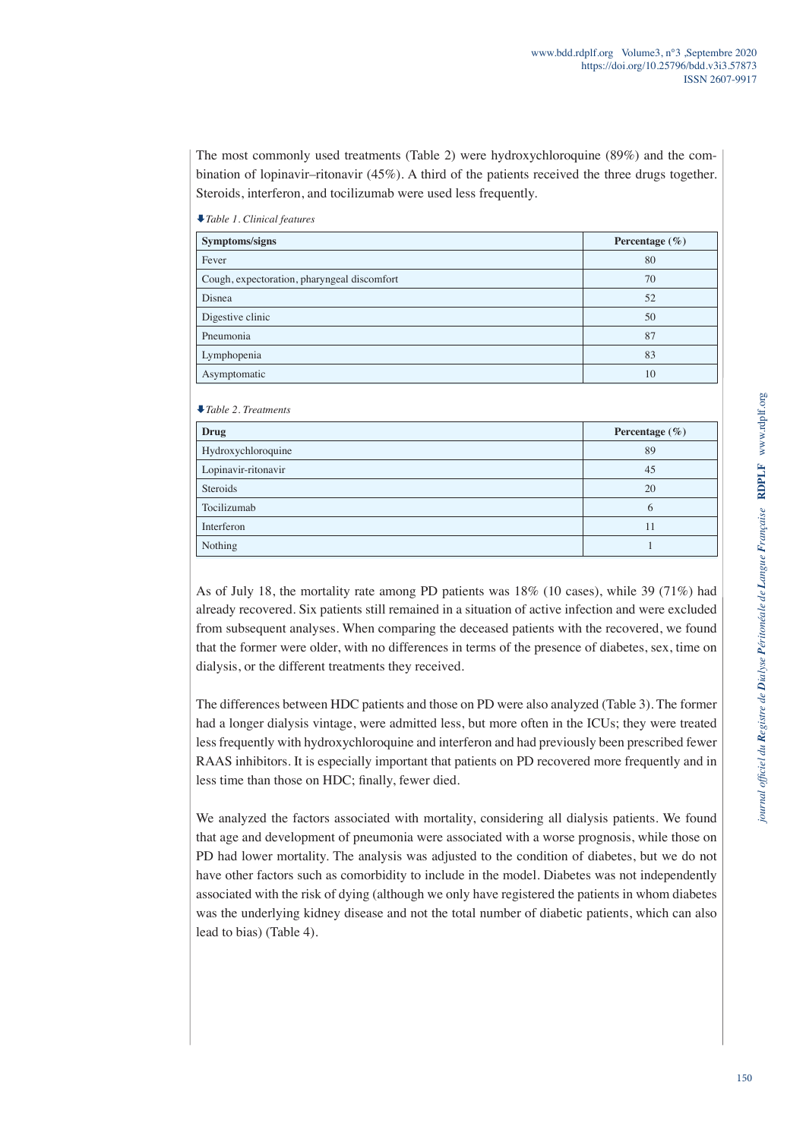The most commonly used treatments (Table 2) were hydroxychloroquine (89%) and the combination of lopinavir–ritonavir (45%). A third of the patients received the three drugs together. Steroids, interferon, and tocilizumab were used less frequently.

| $\cdot$ raote 1. Chancell features          |                    |  |  |
|---------------------------------------------|--------------------|--|--|
| Symptoms/signs                              | Percentage $(\% )$ |  |  |
| Fever                                       | 80                 |  |  |
| Cough, expectoration, pharyngeal discomfort | 70                 |  |  |
| Disnea                                      | 52                 |  |  |
| Digestive clinic                            | 50                 |  |  |
| Pneumonia                                   | 87                 |  |  |
| Lymphopenia                                 | 83                 |  |  |
| Asymptomatic                                | 10                 |  |  |

*Table 1. Clinical features*

*Table 2. Treatments*

| Drug                | Percentage $(\% )$ |  |
|---------------------|--------------------|--|
| Hydroxychloroquine  | 89                 |  |
| Lopinavir-ritonavir | 45                 |  |
| Steroids            | 20                 |  |
| Tocilizumab         | 6                  |  |
| Interferon          | 11                 |  |
| Nothing             |                    |  |
|                     |                    |  |

As of July 18, the mortality rate among PD patients was 18% (10 cases), while 39 (71%) had already recovered. Six patients still remained in a situation of active infection and were excluded from subsequent analyses. When comparing the deceased patients with the recovered, we found that the former were older, with no differences in terms of the presence of diabetes, sex, time on dialysis, or the different treatments they received.

The differences between HDC patients and those on PD were also analyzed (Table 3). The former had a longer dialysis vintage, were admitted less, but more often in the ICUs; they were treated less frequently with hydroxychloroquine and interferon and had previously been prescribed fewer RAAS inhibitors. It is especially important that patients on PD recovered more frequently and in less time than those on HDC; finally, fewer died.

We analyzed the factors associated with mortality, considering all dialysis patients. We found that age and development of pneumonia were associated with a worse prognosis, while those on PD had lower mortality. The analysis was adjusted to the condition of diabetes, but we do not have other factors such as comorbidity to include in the model. Diabetes was not independently associated with the risk of dying (although we only have registered the patients in whom diabetes was the underlying kidney disease and not the total number of diabetic patients, which can also lead to bias) (Table 4).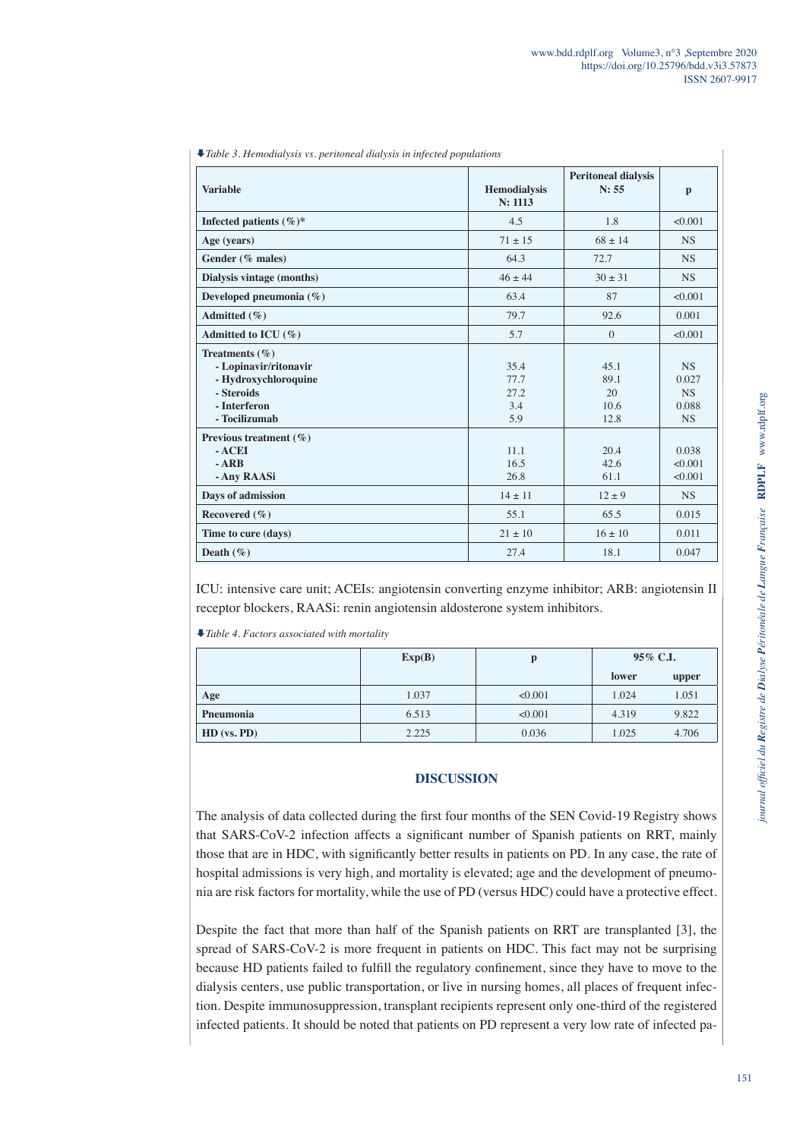| <b>Variable</b>                                                                                                    | <b>Hemodialysis</b><br>N: 1113     | <b>Peritoneal dialysis</b><br>N: 55 | $\mathbf{p}$                                          |
|--------------------------------------------------------------------------------------------------------------------|------------------------------------|-------------------------------------|-------------------------------------------------------|
| Infected patients $(\%)^*$                                                                                         | 4.5                                | 1.8                                 | < 0.001                                               |
| Age (years)                                                                                                        | $71 + 15$                          | $68 + 14$                           | NS.                                                   |
| Gender (% males)                                                                                                   | 64.3                               | 72.7                                | NS.                                                   |
| Dialysis vintage (months)                                                                                          | $46 + 44$                          | $30 + 31$                           | NS.                                                   |
| Developed pneumonia $(\% )$                                                                                        | 63.4                               | 87                                  | < 0.001                                               |
| Admitted (%)                                                                                                       | 79.7                               | 92.6                                | 0.001                                                 |
| Admitted to ICU $(\% )$                                                                                            | 5.7                                | $\Omega$                            | < 0.001                                               |
| Treatments $(\% )$<br>- Lopinavir/ritonavir<br>- Hydroxychloroquine<br>- Steroids<br>- Interferon<br>- Tocilizumab | 35.4<br>77.7<br>27.2<br>3.4<br>5.9 | 45.1<br>89.1<br>20<br>10.6<br>12.8  | <b>NS</b><br>0.027<br><b>NS</b><br>0.088<br><b>NS</b> |
| Previous treatment $(\% )$<br>$-$ ACEI<br>$-ARB$<br>- Any RAASi                                                    | 11.1<br>16.5<br>26.8               | 20.4<br>42.6<br>61.1                | 0.038<br>< 0.001<br>< 0.001                           |
| Days of admission                                                                                                  | $14 + 11$                          | $12 + 9$                            | <b>NS</b>                                             |
| Recovered (%)                                                                                                      | 55.1                               | 65.5                                | 0.015                                                 |
| Time to cure (days)                                                                                                | $21 \pm 10$                        | $16 + 10$                           | 0.011                                                 |
| Death $(\% )$                                                                                                      | 27.4                               | 18.1                                | 0.047                                                 |

ICU: intensive care unit; ACEIs: angiotensin converting enzyme inhibitor; ARB: angiotensin II receptor blockers, RAASi: renin angiotensin aldosterone system inhibitors.

*Table 4. Factors associated with mortality*

|               | Exp(B) | D       | 95% C.I. |       |
|---------------|--------|---------|----------|-------|
|               |        |         | lower    | upper |
| Age           | 1.037  | < 0.001 | 1.024    | 1.051 |
| Pneumonia     | 6.513  | < 0.001 | 4.319    | 9.822 |
| $HD$ (vs. PD) | 2.225  | 0.036   | 1.025    | 4.706 |

#### **DISCUSSION**

The analysis of data collected during the first four months of the SEN Covid-19 Registry shows that SARS-CoV-2 infection affects a significant number of Spanish patients on RRT, mainly those that are in HDC, with significantly better results in patients on PD. In any case, the rate of hospital admissions is very high, and mortality is elevated; age and the development of pneumonia are risk factors for mortality, while the use of PD (versus HDC) could have a protective effect.

Despite the fact that more than half of the Spanish patients on RRT are transplanted [3], the spread of SARS-CoV-2 is more frequent in patients on HDC. This fact may not be surprising because HD patients failed to fulfill the regulatory confinement, since they have to move to the dialysis centers, use public transportation, or live in nursing homes, all places of frequent infection. Despite immunosuppression, transplant recipients represent only one-third of the registered infected patients. It should be noted that patients on PD represent a very low rate of infected pa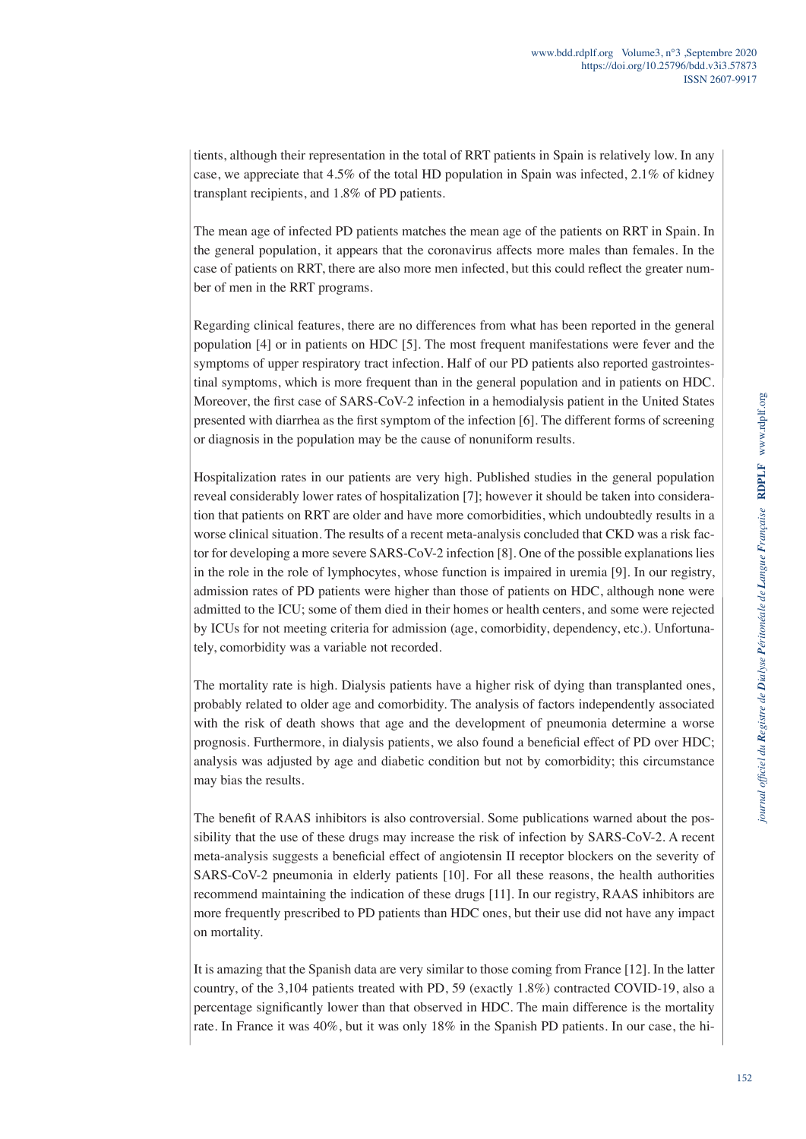tients, although their representation in the total of RRT patients in Spain is relatively low. In any case, we appreciate that 4.5% of the total HD population in Spain was infected, 2.1% of kidney transplant recipients, and 1.8% of PD patients.

The mean age of infected PD patients matches the mean age of the patients on RRT in Spain. In the general population, it appears that the coronavirus affects more males than females. In the case of patients on RRT, there are also more men infected, but this could reflect the greater number of men in the RRT programs.

Regarding clinical features, there are no differences from what has been reported in the general population [4] or in patients on HDC [5]. The most frequent manifestations were fever and the symptoms of upper respiratory tract infection. Half of our PD patients also reported gastrointestinal symptoms, which is more frequent than in the general population and in patients on HDC. Moreover, the first case of SARS-CoV-2 infection in a hemodialysis patient in the United States presented with diarrhea as the first symptom of the infection [6]. The different forms of screening or diagnosis in the population may be the cause of nonuniform results.

Hospitalization rates in our patients are very high. Published studies in the general population reveal considerably lower rates of hospitalization [7]; however it should be taken into consideration that patients on RRT are older and have more comorbidities, which undoubtedly results in a worse clinical situation. The results of a recent meta-analysis concluded that CKD was a risk factor for developing a more severe SARS-CoV-2 infection [8]. One of the possible explanations lies in the role in the role of lymphocytes, whose function is impaired in uremia [9]. In our registry, admission rates of PD patients were higher than those of patients on HDC, although none were admitted to the ICU; some of them died in their homes or health centers, and some were rejected by ICUs for not meeting criteria for admission (age, comorbidity, dependency, etc.). Unfortunately, comorbidity was a variable not recorded.

The mortality rate is high. Dialysis patients have a higher risk of dying than transplanted ones, probably related to older age and comorbidity. The analysis of factors independently associated with the risk of death shows that age and the development of pneumonia determine a worse prognosis. Furthermore, in dialysis patients, we also found a beneficial effect of PD over HDC; analysis was adjusted by age and diabetic condition but not by comorbidity; this circumstance may bias the results.

The benefit of RAAS inhibitors is also controversial. Some publications warned about the possibility that the use of these drugs may increase the risk of infection by SARS-CoV-2. A recent meta-analysis suggests a beneficial effect of angiotensin II receptor blockers on the severity of SARS-CoV-2 pneumonia in elderly patients [10]. For all these reasons, the health authorities recommend maintaining the indication of these drugs [11]. In our registry, RAAS inhibitors are more frequently prescribed to PD patients than HDC ones, but their use did not have any impact on mortality.

It is amazing that the Spanish data are very similar to those coming from France [12]. In the latter country, of the 3,104 patients treated with PD, 59 (exactly 1.8%) contracted COVID-19, also a percentage significantly lower than that observed in HDC. The main difference is the mortality rate. In France it was 40%, but it was only 18% in the Spanish PD patients. In our case, the hi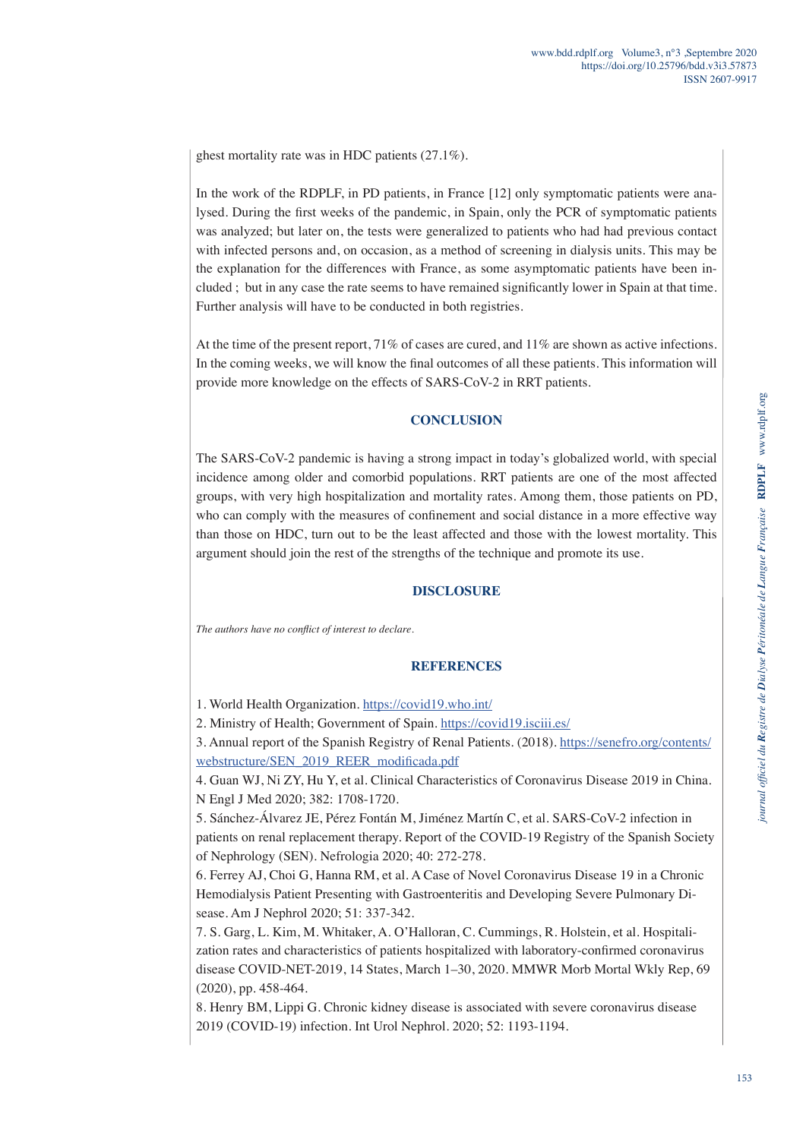ghest mortality rate was in HDC patients (27.1%).

In the work of the RDPLF, in PD patients, in France [12] only symptomatic patients were analysed. During the first weeks of the pandemic, in Spain, only the PCR of symptomatic patients was analyzed; but later on, the tests were generalized to patients who had had previous contact with infected persons and, on occasion, as a method of screening in dialysis units. This may be the explanation for the differences with France, as some asymptomatic patients have been included ; but in any case the rate seems to have remained significantly lower in Spain at that time. Further analysis will have to be conducted in both registries.

At the time of the present report, 71% of cases are cured, and 11% are shown as active infections. In the coming weeks, we will know the final outcomes of all these patients. This information will provide more knowledge on the effects of SARS-CoV-2 in RRT patients.

### **CONCLUSION**

The SARS-CoV-2 pandemic is having a strong impact in today's globalized world, with special incidence among older and comorbid populations. RRT patients are one of the most affected groups, with very high hospitalization and mortality rates. Among them, those patients on PD, who can comply with the measures of confinement and social distance in a more effective way than those on HDC, turn out to be the least affected and those with the lowest mortality. This argument should join the rest of the strengths of the technique and promote its use.

### **DISCLOSURE**

*The authors have no conflict of interest to declare.*

### **REFERENCES**

3. Annual report of the Spanish Registry of Renal Patients. (2018). [https://senefro.org/contents/](https://senefro.org/contents/webstructure/SEN_2019_REER_modificada.pdf ) [webstructure/SEN\\_2019\\_REER\\_modificada.pdf](https://senefro.org/contents/webstructure/SEN_2019_REER_modificada.pdf )

<sup>1.</sup> World Health Organization.<https://covid19.who.int/>

<sup>2.</sup> Ministry of Health; Government of Spain. <https://covid19.isciii.es/>

<sup>4.</sup> Guan WJ, Ni ZY, Hu Y, et al. Clinical Characteristics of Coronavirus Disease 2019 in China. N Engl J Med 2020; 382: 1708-1720.

<sup>5.</sup> Sánchez-Álvarez JE, Pérez Fontán M, Jiménez Martín C, et al. SARS-CoV-2 infection in patients on renal replacement therapy. Report of the COVID-19 Registry of the Spanish Society of Nephrology (SEN). Nefrologia 2020; 40: 272-278.

<sup>6.</sup> Ferrey AJ, Choi G, Hanna RM, et al. A Case of Novel Coronavirus Disease 19 in a Chronic Hemodialysis Patient Presenting with Gastroenteritis and Developing Severe Pulmonary Disease. Am J Nephrol 2020; 51: 337-342.

<sup>7.</sup> S. Garg, L. Kim, M. Whitaker, A. O'Halloran, C. Cummings, R. Holstein, et al. Hospitalization rates and characteristics of patients hospitalized with laboratory-confirmed coronavirus disease COVID-NET-2019, 14 States, March 1–30, 2020. MMWR Morb Mortal Wkly Rep, 69 (2020), pp. 458-464.

<sup>8.</sup> Henry BM, Lippi G. Chronic kidney disease is associated with severe coronavirus disease 2019 (COVID-19) infection. Int Urol Nephrol. 2020; 52: 1193-1194.